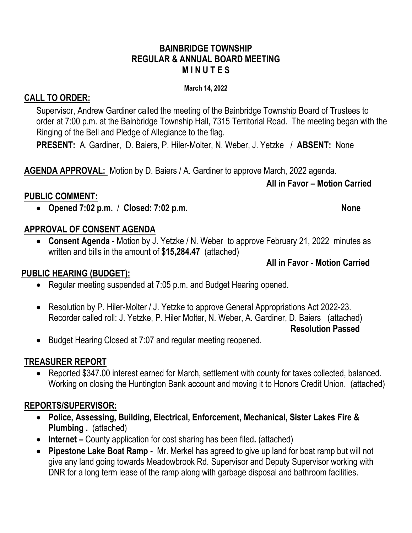### **BAINBRIDGE TOWNSHIP REGULAR & ANNUAL BOARD MEETING M I N U T E S**

### **March 14, 2022**

# **CALL TO ORDER:**

Supervisor, Andrew Gardiner called the meeting of the Bainbridge Township Board of Trustees to order at 7:00 p.m. at the Bainbridge Township Hall, 7315 Territorial Road. The meeting began with the Ringing of the Bell and Pledge of Allegiance to the flag.

**PRESENT:** A. Gardiner, D. Baiers, P. Hiler-Molter, N. Weber, J. Yetzke / **ABSENT:** None

**AGENDA APPROVAL:** Motion by D. Baiers / A. Gardiner to approve March, 2022 agenda.

### **All in Favor – Motion Carried**

# **PUBLIC COMMENT:**

• **Opened 7:02 p.m.** / **Closed: 7:02 p.m. None**

# **APPROVAL OF CONSENT AGENDA**

• **Consent Agenda** - Motion by J. Yetzke / N. Weber to approve February 21, 2022 minutes as written and bills in the amount of \$**15,284.47** (attached)

**All in Favor** - **Motion Carried**

# **PUBLIC HEARING (BUDGET):**

- Regular meeting suspended at 7:05 p.m. and Budget Hearing opened.
- Resolution by P. Hiler-Molter / J. Yetzke to approve General Appropriations Act 2022-23. Recorder called roll: J. Yetzke, P. Hiler Molter, N. Weber, A. Gardiner, D. Baiers (attached)

**Resolution Passed**

• Budget Hearing Closed at 7:07 and regular meeting reopened.

# **TREASURER REPORT**

• Reported \$347.00 interest earned for March, settlement with county for taxes collected, balanced. Working on closing the Huntington Bank account and moving it to Honors Credit Union. (attached)

# **REPORTS/SUPERVISOR:**

- **Police, Assessing, Building, Electrical, Enforcement, Mechanical, Sister Lakes Fire & Plumbing .** (attached)
- **Internet** County application for cost sharing has been filed. (attached)
- **Pipestone Lake Boat Ramp -** Mr. Merkel has agreed to give up land for boat ramp but will not give any land going towards Meadowbrook Rd. Supervisor and Deputy Supervisor working with DNR for a long term lease of the ramp along with garbage disposal and bathroom facilities.